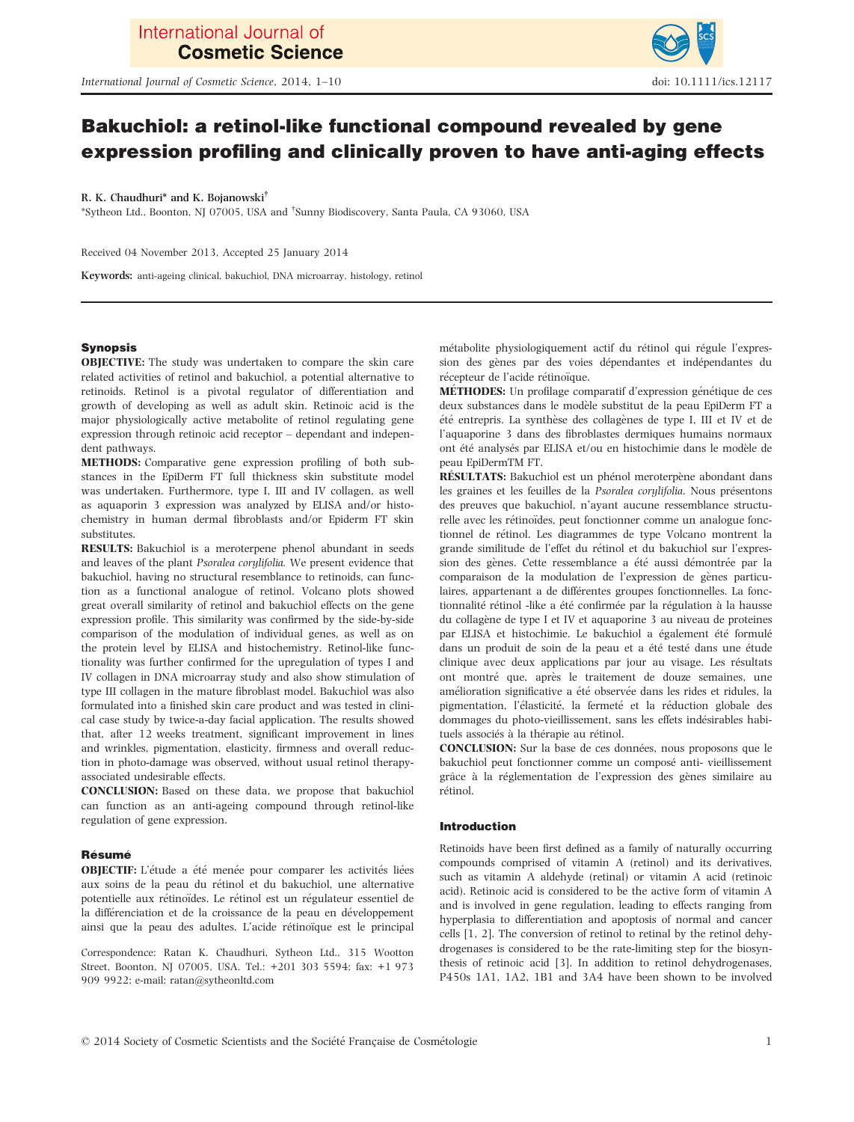International Journal of Cosmetic Science, 2014, 1-10 doi: 10.1111/ics.12117



# Bakuchiol: a retinol-like functional compound revealed by gene expression profiling and clinically proven to have anti-aging effects

# R. K. Chaudhuri\* and K. Bojanowski†

\*Sytheon Ltd., Boonton, NJ 07005, USA and † Sunny Biodiscovery, Santa Paula, CA 93060, USA

Received 04 November 2013, Accepted 25 January 2014

Keywords: anti-ageing clinical, bakuchiol, DNA microarray, histology, retinol

# Synopsis

OBJECTIVE: The study was undertaken to compare the skin care related activities of retinol and bakuchiol, a potential alternative to retinoids. Retinol is a pivotal regulator of differentiation and growth of developing as well as adult skin. Retinoic acid is the major physiologically active metabolite of retinol regulating gene expression through retinoic acid receptor – dependant and independent pathways.

METHODS: Comparative gene expression profiling of both substances in the EpiDerm FT full thickness skin substitute model was undertaken. Furthermore, type I, III and IV collagen, as well as aquaporin 3 expression was analyzed by ELISA and/or histochemistry in human dermal fibroblasts and/or Epiderm FT skin substitutes.

RESULTS: Bakuchiol is a meroterpene phenol abundant in seeds and leaves of the plant Psoralea corylifolia. We present evidence that bakuchiol, having no structural resemblance to retinoids, can function as a functional analogue of retinol. Volcano plots showed great overall similarity of retinol and bakuchiol effects on the gene expression profile. This similarity was confirmed by the side-by-side comparison of the modulation of individual genes, as well as on the protein level by ELISA and histochemistry. Retinol-like functionality was further confirmed for the upregulation of types I and IV collagen in DNA microarray study and also show stimulation of type III collagen in the mature fibroblast model. Bakuchiol was also formulated into a finished skin care product and was tested in clinical case study by twice-a-day facial application. The results showed that, after 12 weeks treatment, significant improvement in lines and wrinkles, pigmentation, elasticity, firmness and overall reduction in photo-damage was observed, without usual retinol therapyassociated undesirable effects.

CONCLUSION: Based on these data, we propose that bakuchiol can function as an anti-ageing compound through retinol-like regulation of gene expression.

# Résumé

OBJECTIF: L'étude a été menée pour comparer les activités liées aux soins de la peau du retinol et du bakuchiol, une alternative potentielle aux rétinoïdes. Le rétinol est un régulateur essentiel de la differenciation et de la croissance de la peau en developpement ainsi que la peau des adultes. L'acide rétinoïque est le principal

Correspondence: Ratan K. Chaudhuri, Sytheon Ltd., 315 Wootton Street, Boonton, NJ 07005, USA. Tel.: +201 303 5594; fax: +1 973 909 9922; e-mail: ratan@sytheonltd.com

métabolite physiologiquement actif du rétinol qui régule l'expression des genes par des voies dependantes et independantes du récepteur de l'acide rétinoïque.

MÉTHODES: Un profilage comparatif d'expression génétique de ces deux substances dans le modele substitut de la peau EpiDerm FT a ete entrepris. La synthese des collagenes de type I, III et IV et de l'aquaporine 3 dans des fibroblastes dermiques humains normaux ont ete analyses par ELISA et/ou en histochimie dans le modele de peau EpiDermTM FT.

RÉSULTATS: Bakuchiol est un phénol meroterpène abondant dans les graines et les feuilles de la Psoralea corylifolia. Nous présentons des preuves que bakuchiol, n'ayant aucune ressemblance structurelle avec les rétinoïdes, peut fonctionner comme un analogue fonctionnel de retinol. Les diagrammes de type Volcano montrent la grande similitude de l'effet du retinol et du bakuchiol sur l'expression des gènes. Cette ressemblance a été aussi démontrée par la comparaison de la modulation de l'expression de genes particulaires, appartenant a de differentes groupes fonctionnelles. La fonctionnalité rétinol -like a été confirmée par la régulation à la hausse du collagene de type I et IV et aquaporine 3 au niveau de proteines par ELISA et histochimie. Le bakuchiol a également été formulé dans un produit de soin de la peau et a été testé dans une étude clinique avec deux applications par jour au visage. Les resultats ont montré que, après le traitement de douze semaines, une amélioration significative a été observée dans les rides et ridules, la pigmentation, l'élasticité, la fermeté et la réduction globale des dommages du photo-vieillissement, sans les effets indesirables habituels associés à la thérapie au rétinol.

CONCLUSION: Sur la base de ces donnees, nous proposons que le bakuchiol peut fonctionner comme un compose anti- vieillissement grâce à la réglementation de l'expression des gènes similaire au rétinol.

# Introduction

Retinoids have been first defined as a family of naturally occurring compounds comprised of vitamin A (retinol) and its derivatives, such as vitamin A aldehyde (retinal) or vitamin A acid (retinoic acid). Retinoic acid is considered to be the active form of vitamin A and is involved in gene regulation, leading to effects ranging from hyperplasia to differentiation and apoptosis of normal and cancer cells [1, 2]. The conversion of retinol to retinal by the retinol dehydrogenases is considered to be the rate-limiting step for the biosynthesis of retinoic acid [3]. In addition to retinol dehydrogenases, P450s 1A1, 1A2, 1B1 and 3A4 have been shown to be involved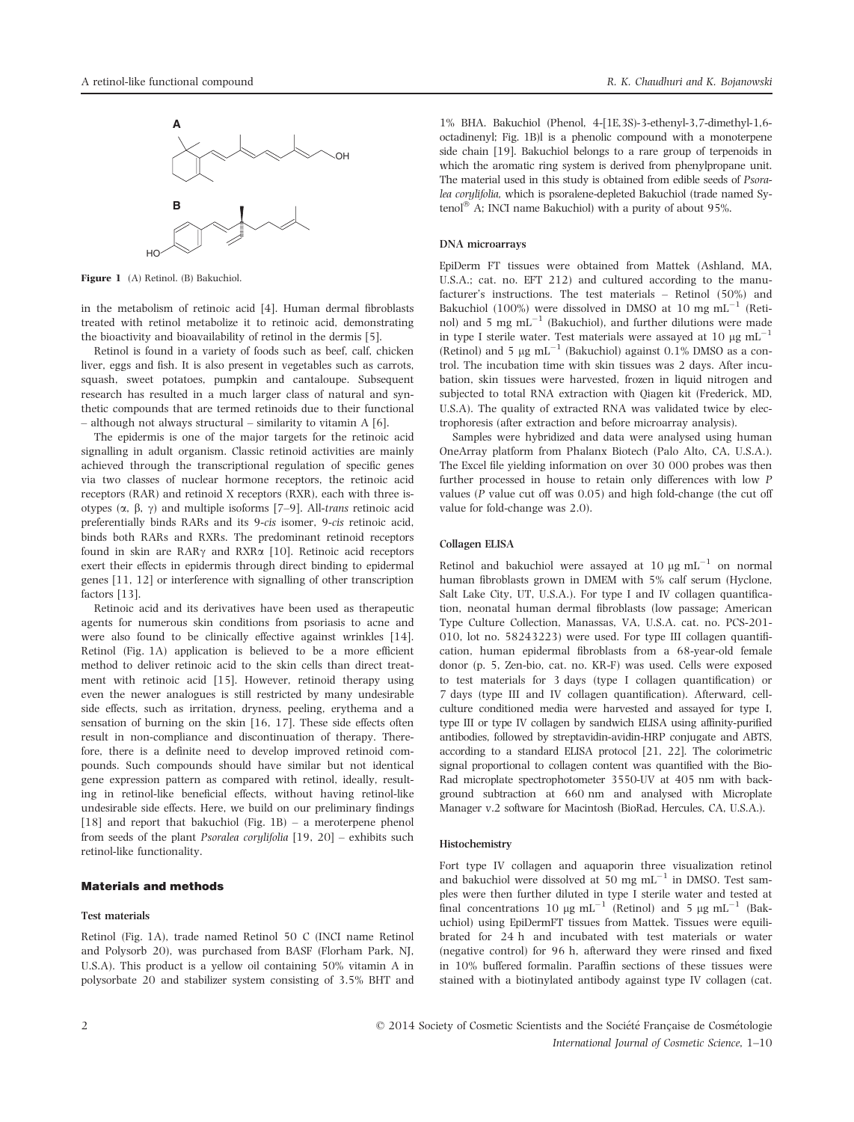

Figure 1 (A) Retinol. (B) Bakuchiol.

in the metabolism of retinoic acid [4]. Human dermal fibroblasts treated with retinol metabolize it to retinoic acid, demonstrating the bioactivity and bioavailability of retinol in the dermis [5].

Retinol is found in a variety of foods such as beef, calf, chicken liver, eggs and fish. It is also present in vegetables such as carrots, squash, sweet potatoes, pumpkin and cantaloupe. Subsequent research has resulted in a much larger class of natural and synthetic compounds that are termed retinoids due to their functional – although not always structural – similarity to vitamin A [6].

The epidermis is one of the major targets for the retinoic acid signalling in adult organism. Classic retinoid activities are mainly achieved through the transcriptional regulation of specific genes via two classes of nuclear hormone receptors, the retinoic acid receptors (RAR) and retinoid X receptors (RXR), each with three isotypes (α, β, γ) and multiple isoforms [7–9]. All-trans retinoic acid preferentially binds RARs and its 9-cis isomer, 9-cis retinoic acid, binds both RARs and RXRs. The predominant retinoid receptors found in skin are  $RAR\gamma$  and  $RXR\alpha$  [10]. Retinoic acid receptors exert their effects in epidermis through direct binding to epidermal genes [11, 12] or interference with signalling of other transcription factors [13].

Retinoic acid and its derivatives have been used as therapeutic agents for numerous skin conditions from psoriasis to acne and were also found to be clinically effective against wrinkles [14]. Retinol (Fig. 1A) application is believed to be a more efficient method to deliver retinoic acid to the skin cells than direct treatment with retinoic acid [15]. However, retinoid therapy using even the newer analogues is still restricted by many undesirable side effects, such as irritation, dryness, peeling, erythema and a sensation of burning on the skin [16, 17]. These side effects often result in non-compliance and discontinuation of therapy. Therefore, there is a definite need to develop improved retinoid compounds. Such compounds should have similar but not identical gene expression pattern as compared with retinol, ideally, resulting in retinol-like beneficial effects, without having retinol-like undesirable side effects. Here, we build on our preliminary findings [18] and report that bakuchiol (Fig. 1B) – a meroterpene phenol from seeds of the plant Psoralea corylifolia [19, 20] – exhibits such retinol-like functionality.

# Materials and methods

#### Test materials

Retinol (Fig. 1A), trade named Retinol 50 C (INCI name Retinol and Polysorb 20), was purchased from BASF (Florham Park, NJ, U.S.A). This product is a yellow oil containing 50% vitamin A in polysorbate 20 and stabilizer system consisting of 3.5% BHT and

1% BHA. Bakuchiol (Phenol, 4-[1E,3S)-3-ethenyl-3,7-dimethyl-1,6 octadinenyl; Fig. 1B)l is a phenolic compound with a monoterpene side chain [19]. Bakuchiol belongs to a rare group of terpenoids in which the aromatic ring system is derived from phenylpropane unit. The material used in this study is obtained from edible seeds of Psoralea corylifolia, which is psoralene-depleted Bakuchiol (trade named Sytenol<sup>®</sup> A; INCI name Bakuchiol) with a purity of about 95%.

#### DNA microarrays

EpiDerm FT tissues were obtained from Mattek (Ashland, MA, U.S.A.; cat. no. EFT 212) and cultured according to the manufacturer's instructions. The test materials – Retinol (50%) and Bakuchiol (100%) were dissolved in DMSO at 10 mg  $mL^{-1}$  (Retinol) and 5 mg  $mL^{-1}$  (Bakuchiol), and further dilutions were made in type I sterile water. Test materials were assayed at  $10 \mu g \text{ mL}^{-1}$ (Retinol) and 5  $\mu$ g mL<sup>-1</sup> (Bakuchiol) against 0.1% DMSO as a control. The incubation time with skin tissues was 2 days. After incubation, skin tissues were harvested, frozen in liquid nitrogen and subjected to total RNA extraction with Qiagen kit (Frederick, MD, U.S.A). The quality of extracted RNA was validated twice by electrophoresis (after extraction and before microarray analysis).

Samples were hybridized and data were analysed using human OneArray platform from Phalanx Biotech (Palo Alto, CA, U.S.A.). The Excel file yielding information on over 30 000 probes was then further processed in house to retain only differences with low P values (P value cut off was 0.05) and high fold-change (the cut off value for fold-change was 2.0).

#### Collagen ELISA

Retinol and bakuchiol were assayed at 10  $\mu$ g mL<sup>-1</sup> on normal human fibroblasts grown in DMEM with 5% calf serum (Hyclone, Salt Lake City, UT, U.S.A.). For type I and IV collagen quantification, neonatal human dermal fibroblasts (low passage; American Type Culture Collection, Manassas, VA, U.S.A. cat. no. PCS-201- 010, lot no. 58243223) were used. For type III collagen quantification, human epidermal fibroblasts from a 68-year-old female donor (p. 5, Zen-bio, cat. no. KR-F) was used. Cells were exposed to test materials for 3 days (type I collagen quantification) or 7 days (type III and IV collagen quantification). Afterward, cellculture conditioned media were harvested and assayed for type I, type III or type IV collagen by sandwich ELISA using affinity-purified antibodies, followed by streptavidin-avidin-HRP conjugate and ABTS, according to a standard ELISA protocol [21, 22]. The colorimetric signal proportional to collagen content was quantified with the Bio-Rad microplate spectrophotometer 3550-UV at 405 nm with background subtraction at 660 nm and analysed with Microplate Manager v.2 software for Macintosh (BioRad, Hercules, CA, U.S.A.).

#### Histochemistry

Fort type IV collagen and aquaporin three visualization retinol and bakuchiol were dissolved at 50 mg  $mL^{-1}$  in DMSO. Test samples were then further diluted in type I sterile water and tested at final concentrations 10  $\mu$ g mL<sup>-1</sup> (Retinol) and 5  $\mu$ g mL<sup>-1</sup> (Bakuchiol) using EpiDermFT tissues from Mattek. Tissues were equilibrated for 24 h and incubated with test materials or water (negative control) for 96 h, afterward they were rinsed and fixed in 10% buffered formalin. Paraffin sections of these tissues were stained with a biotinylated antibody against type IV collagen (cat.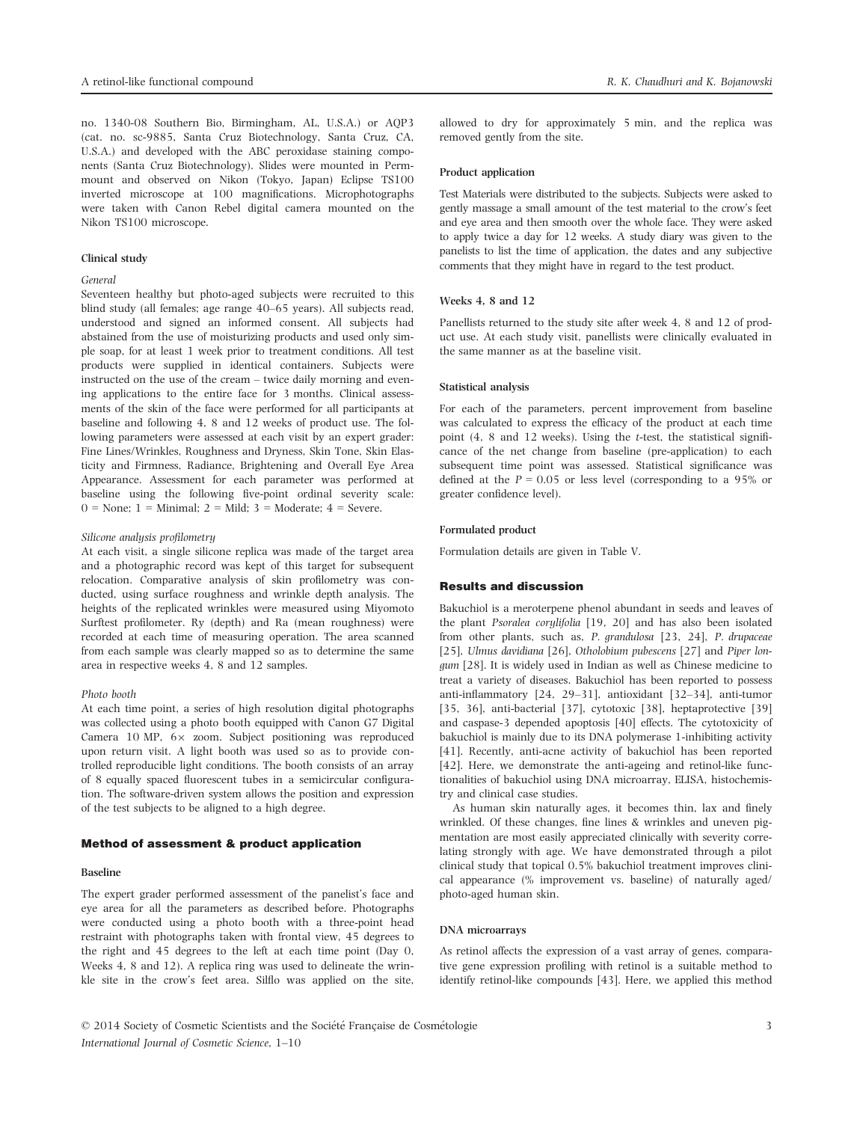no. 1340-08 Southern Bio, Birmingham, AL, U.S.A.) or AQP3 (cat. no. sc-9885, Santa Cruz Biotechnology, Santa Cruz, CA, U.S.A.) and developed with the ABC peroxidase staining components (Santa Cruz Biotechnology). Slides were mounted in Permmount and observed on Nikon (Tokyo, Japan) Eclipse TS100 inverted microscope at 100 magnifications. Microphotographs were taken with Canon Rebel digital camera mounted on the Nikon TS100 microscope.

# Clinical study

## General

Seventeen healthy but photo-aged subjects were recruited to this blind study (all females; age range 40–65 years). All subjects read, understood and signed an informed consent. All subjects had abstained from the use of moisturizing products and used only simple soap, for at least 1 week prior to treatment conditions. All test products were supplied in identical containers. Subjects were instructed on the use of the cream – twice daily morning and evening applications to the entire face for 3 months. Clinical assessments of the skin of the face were performed for all participants at baseline and following 4, 8 and 12 weeks of product use. The following parameters were assessed at each visit by an expert grader: Fine Lines/Wrinkles, Roughness and Dryness, Skin Tone, Skin Elasticity and Firmness, Radiance, Brightening and Overall Eye Area Appearance. Assessment for each parameter was performed at baseline using the following five-point ordinal severity scale:  $0 = \text{None}; 1 = \text{Minimal}; 2 = \text{Mild}; 3 = \text{Modern}; 4 = \text{Severe}.$ 

#### Silicone analysis profilometry

At each visit, a single silicone replica was made of the target area and a photographic record was kept of this target for subsequent relocation. Comparative analysis of skin profilometry was conducted, using surface roughness and wrinkle depth analysis. The heights of the replicated wrinkles were measured using Miyomoto Surftest profilometer. Ry (depth) and Ra (mean roughness) were recorded at each time of measuring operation. The area scanned from each sample was clearly mapped so as to determine the same area in respective weeks 4, 8 and 12 samples.

#### Photo booth

At each time point, a series of high resolution digital photographs was collected using a photo booth equipped with Canon G7 Digital Camera 10 MP,  $6 \times$  zoom. Subject positioning was reproduced upon return visit. A light booth was used so as to provide controlled reproducible light conditions. The booth consists of an array of 8 equally spaced fluorescent tubes in a semicircular configuration. The software-driven system allows the position and expression of the test subjects to be aligned to a high degree.

### Method of assessment & product application

#### Baseline

The expert grader performed assessment of the panelist's face and eye area for all the parameters as described before. Photographs were conducted using a photo booth with a three-point head restraint with photographs taken with frontal view, 45 degrees to the right and 45 degrees to the left at each time point (Day 0, Weeks 4, 8 and 12). A replica ring was used to delineate the wrinkle site in the crow's feet area. Silflo was applied on the site,

allowed to dry for approximately 5 min, and the replica was removed gently from the site.

## Product application

Test Materials were distributed to the subjects. Subjects were asked to gently massage a small amount of the test material to the crow's feet and eye area and then smooth over the whole face. They were asked to apply twice a day for 12 weeks. A study diary was given to the panelists to list the time of application, the dates and any subjective comments that they might have in regard to the test product.

# Weeks 4, 8 and 12

Panellists returned to the study site after week 4, 8 and 12 of product use. At each study visit, panellists were clinically evaluated in the same manner as at the baseline visit.

#### Statistical analysis

For each of the parameters, percent improvement from baseline was calculated to express the efficacy of the product at each time point (4, 8 and 12 weeks). Using the t-test, the statistical significance of the net change from baseline (pre-application) to each subsequent time point was assessed. Statistical significance was defined at the  $P = 0.05$  or less level (corresponding to a 95% or greater confidence level).

# Formulated product

Formulation details are given in Table V.

# Results and discussion

Bakuchiol is a meroterpene phenol abundant in seeds and leaves of the plant Psoralea corylifolia [19, 20] and has also been isolated from other plants, such as, P. grandulosa [23, 24], P. drupaceae [25], Ulmus davidiana [26], Otholobium pubescens [27] and Piper longum [28]. It is widely used in Indian as well as Chinese medicine to treat a variety of diseases. Bakuchiol has been reported to possess anti-inflammatory [24, 29–31], antioxidant [32–34], anti-tumor [35, 36], anti-bacterial [37], cytotoxic [38], heptaprotective [39] and caspase-3 depended apoptosis [40] effects. The cytotoxicity of bakuchiol is mainly due to its DNA polymerase 1-inhibiting activity [41]. Recently, anti-acne activity of bakuchiol has been reported [42]. Here, we demonstrate the anti-ageing and retinol-like functionalities of bakuchiol using DNA microarray, ELISA, histochemistry and clinical case studies.

As human skin naturally ages, it becomes thin, lax and finely wrinkled. Of these changes, fine lines & wrinkles and uneven pigmentation are most easily appreciated clinically with severity correlating strongly with age. We have demonstrated through a pilot clinical study that topical 0.5% bakuchiol treatment improves clinical appearance (% improvement vs. baseline) of naturally aged/ photo-aged human skin.

#### DNA microarrays

As retinol affects the expression of a vast array of genes, comparative gene expression profiling with retinol is a suitable method to identify retinol-like compounds [43]. Here, we applied this method

© 2014 Society of Cosmetic Scientists and the Societe Francaise de Cosmetologie 3 International Journal of Cosmetic Science, 1–10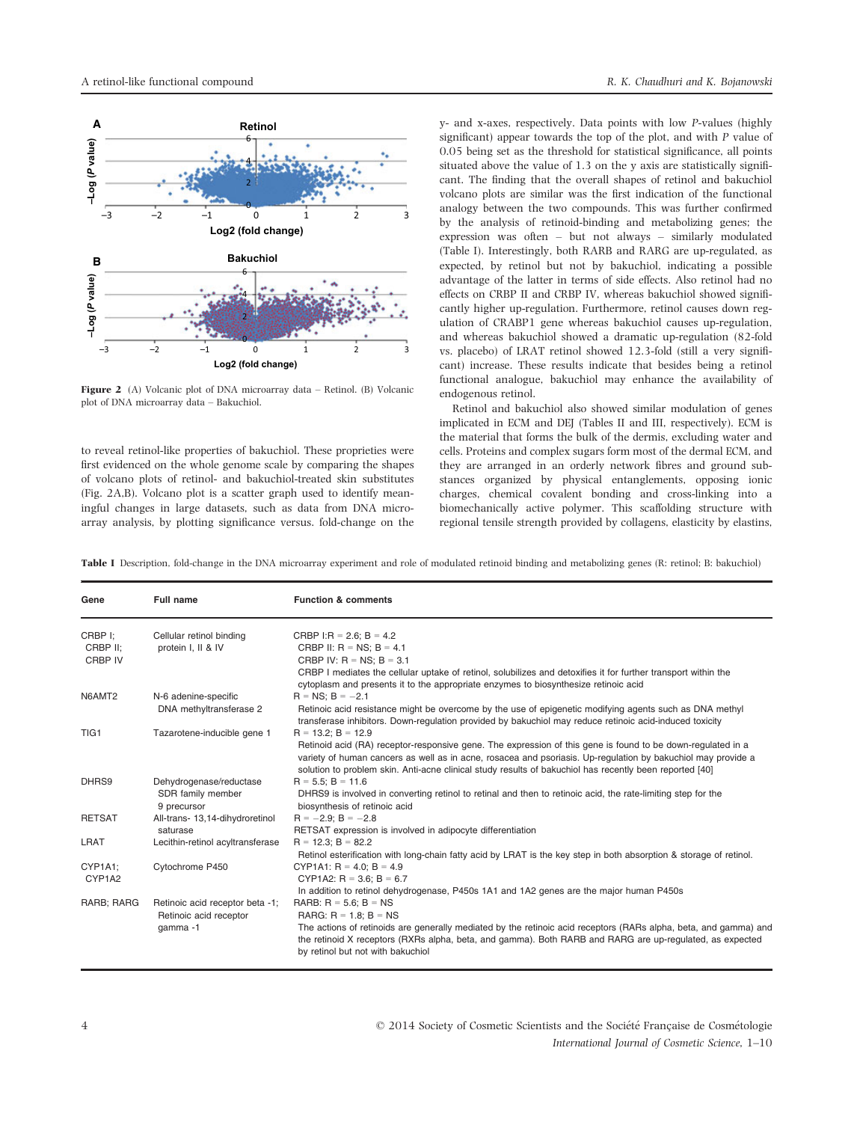

Figure 2 (A) Volcanic plot of DNA microarray data – Retinol. (B) Volcanic plot of DNA microarray data – Bakuchiol.

to reveal retinol-like properties of bakuchiol. These proprieties were first evidenced on the whole genome scale by comparing the shapes of volcano plots of retinol- and bakuchiol-treated skin substitutes (Fig. 2A,B). Volcano plot is a scatter graph used to identify meaningful changes in large datasets, such as data from DNA microarray analysis, by plotting significance versus. fold-change on the

y- and x-axes, respectively. Data points with low P-values (highly significant) appear towards the top of the plot, and with P value of 0.05 being set as the threshold for statistical significance, all points situated above the value of 1.3 on the y axis are statistically significant. The finding that the overall shapes of retinol and bakuchiol volcano plots are similar was the first indication of the functional analogy between the two compounds. This was further confirmed by the analysis of retinoid-binding and metabolizing genes; the expression was often – but not always – similarly modulated (Table I). Interestingly, both RARB and RARG are up-regulated, as expected, by retinol but not by bakuchiol, indicating a possible advantage of the latter in terms of side effects. Also retinol had no effects on CRBP II and CRBP IV, whereas bakuchiol showed significantly higher up-regulation. Furthermore, retinol causes down regulation of CRABP1 gene whereas bakuchiol causes up-regulation, and whereas bakuchiol showed a dramatic up-regulation (82-fold vs. placebo) of LRAT retinol showed 12.3-fold (still a very significant) increase. These results indicate that besides being a retinol functional analogue, bakuchiol may enhance the availability of endogenous retinol.

Retinol and bakuchiol also showed similar modulation of genes implicated in ECM and DEJ (Tables II and III, respectively). ECM is the material that forms the bulk of the dermis, excluding water and cells. Proteins and complex sugars form most of the dermal ECM, and they are arranged in an orderly network fibres and ground substances organized by physical entanglements, opposing ionic charges, chemical covalent bonding and cross-linking into a biomechanically active polymer. This scaffolding structure with regional tensile strength provided by collagens, elasticity by elastins,

Table I Description, fold-change in the DNA microarray experiment and role of modulated retinoid binding and metabolizing genes (R: retinol; B: bakuchiol)

| Gene                                  | <b>Full name</b>                                                      | <b>Function &amp; comments</b>                                                                                                                                                                                                                                                                                                                                    |
|---------------------------------------|-----------------------------------------------------------------------|-------------------------------------------------------------------------------------------------------------------------------------------------------------------------------------------------------------------------------------------------------------------------------------------------------------------------------------------------------------------|
| CRBP I:<br>CRBP II:<br><b>CRBP IV</b> | Cellular retinol binding<br>protein I, II & IV                        | CRBP I: $R = 2.6$ ; B = 4.2<br>CRBP II: $R = NS$ : $B = 4.1$<br>CRBP IV: $R = NS$ : $B = 3.1$<br>CRBP I mediates the cellular uptake of retinol, solubilizes and detoxifies it for further transport within the<br>cytoplasm and presents it to the appropriate enzymes to biosynthesize retinoic acid                                                            |
| N6AMT2                                | N-6 adenine-specific<br>DNA methyltransferase 2                       | $R = NS$ : $B = -2.1$<br>Retinoic acid resistance might be overcome by the use of epigenetic modifying agents such as DNA methyl<br>transferase inhibitors. Down-regulation provided by bakuchiol may reduce retinoic acid-induced toxicity                                                                                                                       |
| TIG <sub>1</sub>                      | Tazarotene-inducible gene 1                                           | $R = 13.2$ : $B = 12.9$<br>Retinoid acid (RA) receptor-responsive gene. The expression of this gene is found to be down-regulated in a<br>variety of human cancers as well as in acne, rosacea and psoriasis. Up-regulation by bakuchiol may provide a<br>solution to problem skin. Anti-acne clinical study results of bakuchiol has recently been reported [40] |
| DHRS9                                 | Dehydrogenase/reductase<br>SDR family member<br>9 precursor           | $R = 5.5$ ; $B = 11.6$<br>DHRS9 is involved in converting retinol to retinal and then to retinoic acid, the rate-limiting step for the<br>biosynthesis of retinoic acid                                                                                                                                                                                           |
| <b>RETSAT</b>                         | All-trans- 13,14-dihydroretinol<br>saturase                           | $R = -2.9$ ; $B = -2.8$<br>RETSAT expression is involved in adipocyte differentiation                                                                                                                                                                                                                                                                             |
| LRAT                                  | Lecithin-retinol acyltransferase                                      | $R = 12.3$ : B = 82.2<br>Retinol esterification with long-chain fatty acid by LRAT is the key step in both absorption & storage of retinol.                                                                                                                                                                                                                       |
| CYP1A1;<br>CYP1A2                     | Cytochrome P450                                                       | CYP1A1: $R = 4.0$ ; $B = 4.9$<br>CYP1A2: $R = 3.6$ ; $B = 6.7$<br>In addition to retinol dehydrogenase, P450s 1A1 and 1A2 genes are the major human P450s                                                                                                                                                                                                         |
| RARB; RARG                            | Retinoic acid receptor beta -1;<br>Retinoic acid receptor<br>qamma -1 | RARB: $R = 5.6$ ; $B = NS$<br>RARG: $R = 1.8$ : $B = NS$<br>The actions of retinoids are generally mediated by the retinoic acid receptors (RARs alpha, beta, and gamma) and<br>the retinoid X receptors (RXRs alpha, beta, and gamma). Both RARB and RARG are up-regulated, as expected<br>by retinol but not with bakuchiol                                     |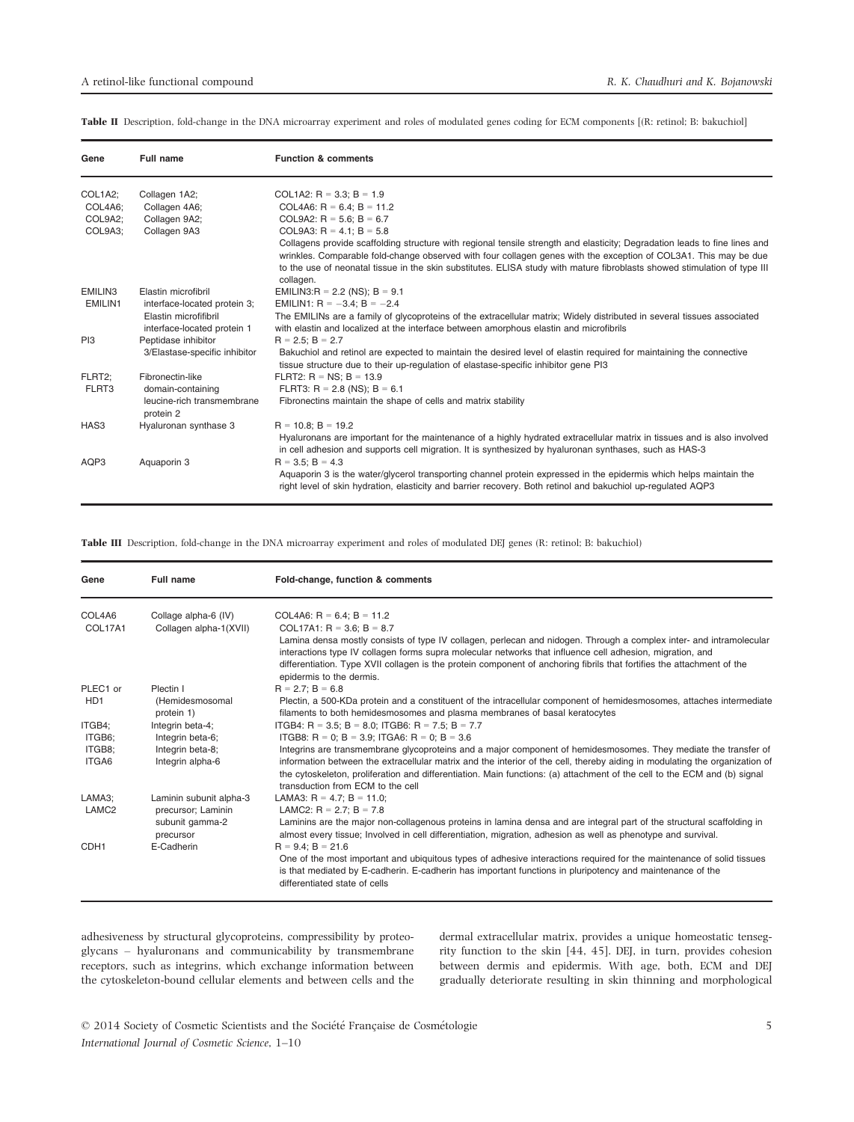Table II Description, fold-change in the DNA microarray experiment and roles of modulated genes coding for ECM components [(R: retinol; B: bakuchiol]

| Gene                          | Full name                                                                                                   | <b>Function &amp; comments</b>                                                                                                                                                                                                                                                                                                                                                                                            |
|-------------------------------|-------------------------------------------------------------------------------------------------------------|---------------------------------------------------------------------------------------------------------------------------------------------------------------------------------------------------------------------------------------------------------------------------------------------------------------------------------------------------------------------------------------------------------------------------|
| COL1A2;<br>COL4A6:<br>COL9A2: | Collagen 1A2;<br>Collagen 4A6;<br>Collagen 9A2;                                                             | COL1A2: $R = 3.3$ ; $B = 1.9$<br>COL4A6: R = $6.4$ ; B = 11.2<br>COL9A2: $R = 5.6$ : $B = 6.7$                                                                                                                                                                                                                                                                                                                            |
| COL9A3;                       | Collagen 9A3                                                                                                | COL9A3: $R = 4.1$ : $B = 5.8$<br>Collagens provide scaffolding structure with regional tensile strength and elasticity; Degradation leads to fine lines and<br>wrinkles. Comparable fold-change observed with four collagen genes with the exception of COL3A1. This may be due<br>to the use of neonatal tissue in the skin substitutes. ELISA study with mature fibroblasts showed stimulation of type III<br>collagen. |
| EMILIN3<br>EMILIN1            | Elastin microfibril<br>interface-located protein 3;<br>Elastin microfifibril<br>interface-located protein 1 | EMILIN3:R = 2.2 (NS); B = 9.1<br>EMILIN1: R = $-3.4$ : B = $-2.4$<br>The EMILINs are a family of glycoproteins of the extracellular matrix; Widely distributed in several tissues associated<br>with elastin and localized at the interface between amorphous elastin and microfibrils                                                                                                                                    |
| P <sub>13</sub>               | Peptidase inhibitor<br>3/Elastase-specific inhibitor                                                        | $R = 2.5$ ; $B = 2.7$<br>Bakuchiol and retinol are expected to maintain the desired level of elastin required for maintaining the connective<br>tissue structure due to their up-requlation of elastase-specific inhibitor gene PI3                                                                                                                                                                                       |
| FLRT2:<br>FLRT3               | Fibronectin-like<br>domain-containing<br>leucine-rich transmembrane<br>protein 2                            | FLRT2: $R = NS$ ; $B = 13.9$<br>FLRT3: $R = 2.8$ (NS); $B = 6.1$<br>Fibronectins maintain the shape of cells and matrix stability                                                                                                                                                                                                                                                                                         |
| HAS <sub>3</sub>              | Hyaluronan synthase 3                                                                                       | $R = 10.8$ ; $B = 19.2$<br>Hyaluronans are important for the maintenance of a highly hydrated extracellular matrix in tissues and is also involved<br>in cell adhesion and supports cell migration. It is synthesized by hyaluronan synthases, such as HAS-3                                                                                                                                                              |
| AQP3                          | Aquaporin 3                                                                                                 | $R = 3.5$ ; $B = 4.3$<br>Aquaporin 3 is the water/glycerol transporting channel protein expressed in the epidermis which helps maintain the<br>right level of skin hydration, elasticity and barrier recovery. Both retinol and bakuchiol up-regulated AQP3                                                                                                                                                               |

Table III Description, fold-change in the DNA microarray experiment and roles of modulated DEJ genes (R: retinol; B: bakuchiol)

| Gene                                | Full name                                                                     | Fold-change, function & comments                                                                                                                                                                                                                                                                                                                                                                                                                                                                                     |
|-------------------------------------|-------------------------------------------------------------------------------|----------------------------------------------------------------------------------------------------------------------------------------------------------------------------------------------------------------------------------------------------------------------------------------------------------------------------------------------------------------------------------------------------------------------------------------------------------------------------------------------------------------------|
| COL4A6<br>COL17A1                   | Collage alpha-6 (IV)<br>Collagen alpha-1(XVII)                                | COL4A6: R = $6.4$ ; B = 11.2<br>COL17A1: $R = 3.6$ : $B = 8.7$<br>Lamina densa mostly consists of type IV collagen, perlecan and nidogen. Through a complex inter- and intramolecular<br>interactions type IV collagen forms supra molecular networks that influence cell adhesion, migration, and<br>differentiation. Type XVII collagen is the protein component of anchoring fibrils that fortifies the attachment of the<br>epidermis to the dermis.                                                             |
| PLEC1 or<br>H <sub>D</sub> 1        | Plectin I<br>(Hemidesmosomal<br>protein 1)                                    | $R = 2.7$ ; $B = 6.8$<br>Plectin, a 500-KDa protein and a constituent of the intracellular component of hemidesmosomes, attaches intermediate<br>filaments to both hemidesmosomes and plasma membranes of basal keratocytes                                                                                                                                                                                                                                                                                          |
| ITGB4:<br>ITGB6:<br>ITGB8:<br>ITGA6 | Integrin beta-4;<br>Integrin beta-6;<br>Integrin beta-8;<br>Integrin alpha-6  | ITGB4: R = 3.5; B = 8.0; ITGB6: R = 7.5; B = 7.7<br>ITGB8: R = 0; B = 3.9; ITGA6: R = 0; B = 3.6<br>Integrins are transmembrane glycoproteins and a major component of hemidesmosomes. They mediate the transfer of<br>information between the extracellular matrix and the interior of the cell, thereby aiding in modulating the organization of<br>the cytoskeleton, proliferation and differentiation. Main functions: (a) attachment of the cell to the ECM and (b) signal<br>transduction from ECM to the cell |
| LAMA3;<br>LAMC <sub>2</sub>         | Laminin subunit alpha-3<br>precursor; Laminin<br>subunit gamma-2<br>precursor | LAMA3: $R = 4.7$ : $B = 11.0$ :<br>LAMC2: $R = 2.7$ ; $B = 7.8$<br>Laminins are the major non-collagenous proteins in lamina densa and are integral part of the structural scaffolding in<br>almost every tissue; Involved in cell differentiation, migration, adhesion as well as phenotype and survival.                                                                                                                                                                                                           |
| CDH <sub>1</sub>                    | E-Cadherin                                                                    | $R = 9.4$ : $B = 21.6$<br>One of the most important and ubiquitous types of adhesive interactions required for the maintenance of solid tissues<br>is that mediated by E-cadherin. E-cadherin has important functions in pluripotency and maintenance of the<br>differentiated state of cells                                                                                                                                                                                                                        |

adhesiveness by structural glycoproteins, compressibility by proteoglycans – hyaluronans and communicability by transmembrane receptors, such as integrins, which exchange information between the cytoskeleton-bound cellular elements and between cells and the dermal extracellular matrix, provides a unique homeostatic tensegrity function to the skin [44, 45]. DEJ, in turn, provides cohesion between dermis and epidermis. With age, both, ECM and DEJ gradually deteriorate resulting in skin thinning and morphological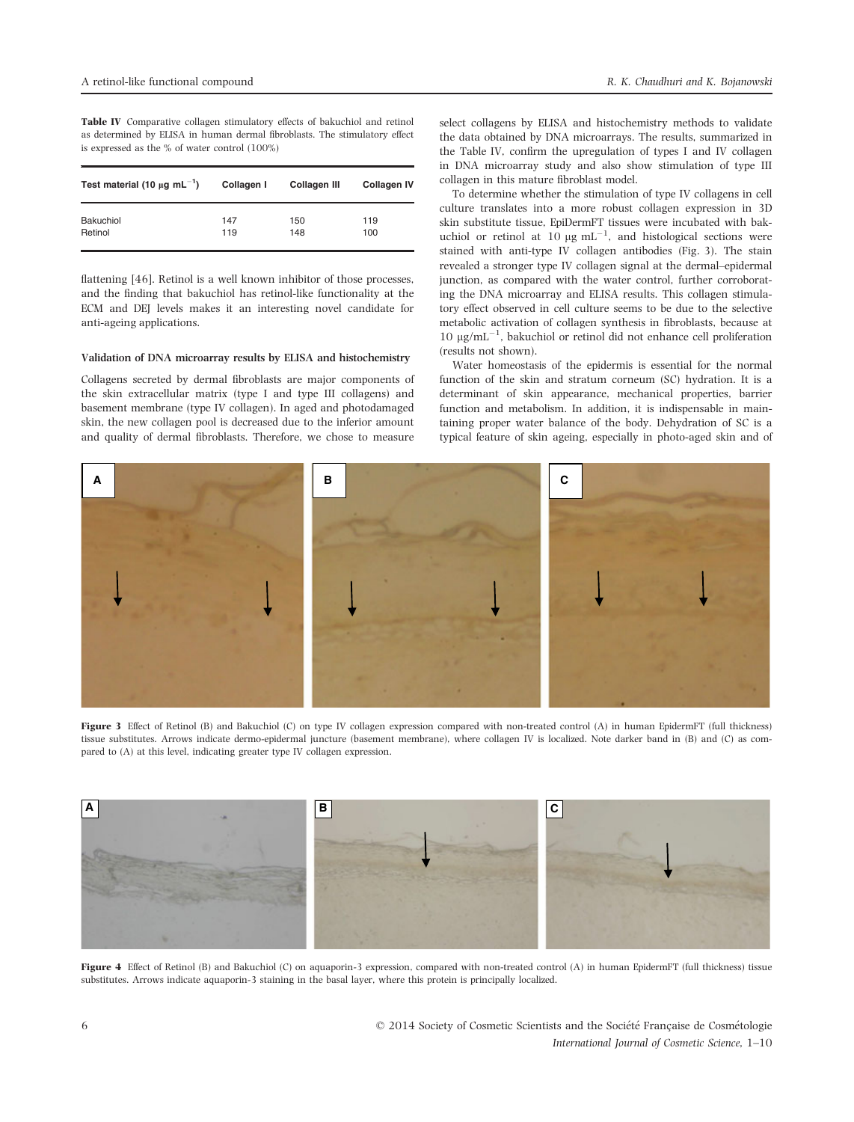Table IV Comparative collagen stimulatory effects of bakuchiol and retinol as determined by ELISA in human dermal fibroblasts. The stimulatory effect is expressed as the % of water control (100%)

| Test material (10 $\mu$ g mL <sup>-1</sup> ) | Collagen I | Collagen III | <b>Collagen IV</b> |
|----------------------------------------------|------------|--------------|--------------------|
| <b>Bakuchiol</b>                             | 147        | 150          | 119                |
| Retinol                                      | 119        | 148          | 100                |

flattening [46]. Retinol is a well known inhibitor of those processes, and the finding that bakuchiol has retinol-like functionality at the ECM and DEJ levels makes it an interesting novel candidate for anti-ageing applications.

# Validation of DNA microarray results by ELISA and histochemistry

Collagens secreted by dermal fibroblasts are major components of the skin extracellular matrix (type I and type III collagens) and basement membrane (type IV collagen). In aged and photodamaged skin, the new collagen pool is decreased due to the inferior amount and quality of dermal fibroblasts. Therefore, we chose to measure

select collagens by ELISA and histochemistry methods to validate the data obtained by DNA microarrays. The results, summarized in the Table IV, confirm the upregulation of types I and IV collagen in DNA microarray study and also show stimulation of type III collagen in this mature fibroblast model.

To determine whether the stimulation of type IV collagens in cell culture translates into a more robust collagen expression in 3D skin substitute tissue, EpiDermFT tissues were incubated with bakuchiol or retinol at 10  $\mu$ g mL<sup>-1</sup>, and histological sections were stained with anti-type IV collagen antibodies (Fig. 3). The stain revealed a stronger type IV collagen signal at the dermal–epidermal junction, as compared with the water control, further corroborating the DNA microarray and ELISA results. This collagen stimulatory effect observed in cell culture seems to be due to the selective metabolic activation of collagen synthesis in fibroblasts, because at  $10 \mu g/mL^{-1}$ , bakuchiol or retinol did not enhance cell proliferation (results not shown).

Water homeostasis of the epidermis is essential for the normal function of the skin and stratum corneum (SC) hydration. It is a determinant of skin appearance, mechanical properties, barrier function and metabolism. In addition, it is indispensable in maintaining proper water balance of the body. Dehydration of SC is a typical feature of skin ageing, especially in photo-aged skin and of



Figure 3 Effect of Retinol (B) and Bakuchiol (C) on type IV collagen expression compared with non-treated control (A) in human EpidermFT (full thickness) tissue substitutes. Arrows indicate dermo-epidermal juncture (basement membrane), where collagen IV is localized. Note darker band in (B) and (C) as compared to (A) at this level, indicating greater type IV collagen expression.



Figure 4 Effect of Retinol (B) and Bakuchiol (C) on aquaporin-3 expression, compared with non-treated control (A) in human EpidermFT (full thickness) tissue substitutes. Arrows indicate aquaporin-3 staining in the basal layer, where this protein is principally localized.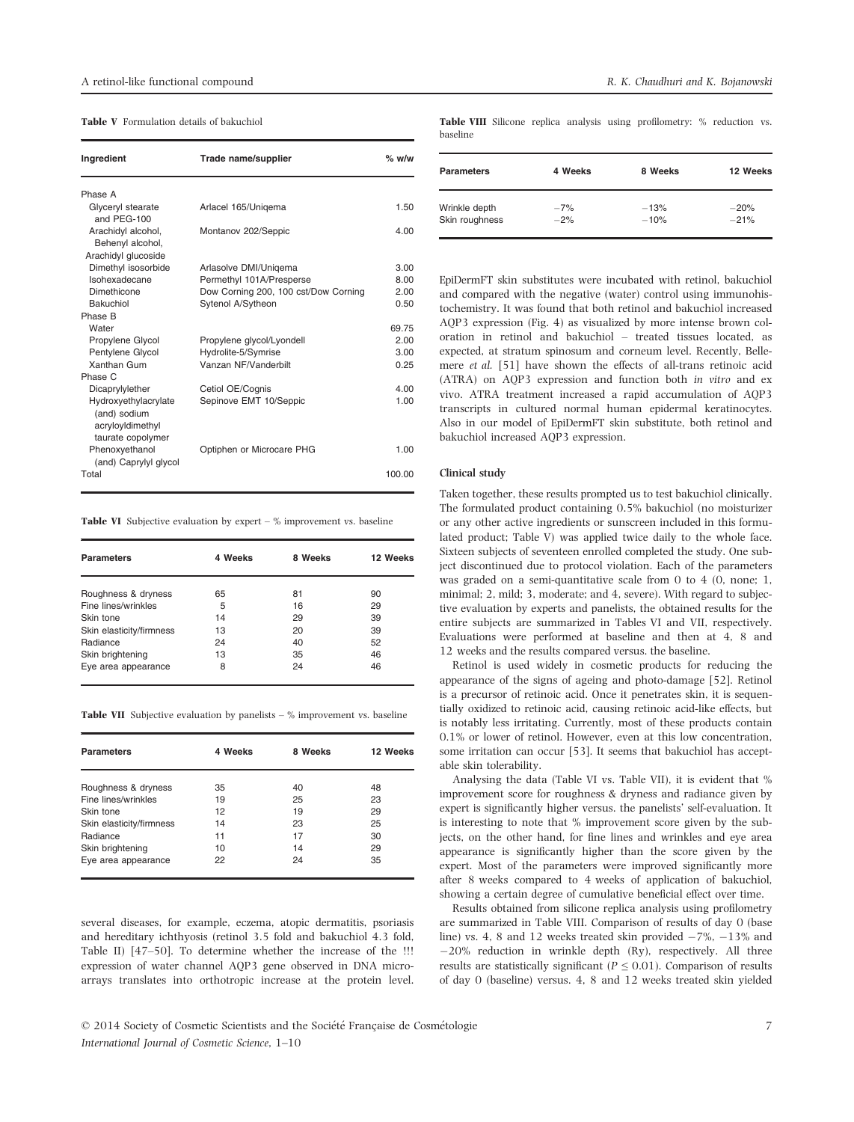|  | <b>Table V</b> Formulation details of bakuchiol |  |  |
|--|-------------------------------------------------|--|--|
|  |                                                 |  |  |

| Ingredient                                                                    | Trade name/supplier                  | $%$ w/w |
|-------------------------------------------------------------------------------|--------------------------------------|---------|
| Phase A                                                                       |                                      |         |
| Glyceryl stearate<br>and PFG-100                                              | Arlacel 165/Unigema                  | 1.50    |
| Arachidyl alcohol,<br>Behenyl alcohol,<br>Arachidyl glucoside                 | Montanov 202/Seppic                  | 4.00    |
| Dimethyl isosorbide                                                           | Arlasolve DMI/Unigema                | 3.00    |
| Isobexadecane                                                                 | Permethyl 101A/Presperse             | 8.00    |
| Dimethicone                                                                   | Dow Corning 200, 100 cst/Dow Corning | 2.00    |
| Bakuchiol                                                                     | Sytenol A/Sytheon                    | 0.50    |
| Phase B                                                                       |                                      |         |
| Water                                                                         |                                      | 69.75   |
| Propylene Glycol                                                              | Propylene glycol/Lyondell            | 2.00    |
| Pentylene Glycol                                                              | Hydrolite-5/Symrise                  | 3.00    |
| Xanthan Gum                                                                   | Vanzan NF/Vanderbilt                 | 0.25    |
| Phase C                                                                       |                                      |         |
| Dicaprylylether                                                               | Cetiol OE/Cognis                     | 4.00    |
| Hydroxyethylacrylate<br>(and) sodium<br>acryloyldimethyl<br>taurate copolymer | Sepinove EMT 10/Seppic               | 1.00    |
| Phenoxyethanol<br>(and) Caprylyl glycol                                       | Optiphen or Microcare PHG            | 1.00    |
| Total                                                                         |                                      | 100.00  |

**Table VI** Subjective evaluation by expert  $-$  % improvement vs. baseline

| <b>Parameters</b>        | 4 Weeks | 8 Weeks | 12 Weeks |  |
|--------------------------|---------|---------|----------|--|
| Roughness & dryness      | 65      | 81      | 90       |  |
| Fine lines/wrinkles      | 5       | 16      | 29       |  |
| Skin tone                | 14      | 29      | 39       |  |
| Skin elasticity/firmness | 13      | 20      | 39       |  |
| <b>Radiance</b>          | 24      | 40      | 52       |  |
| Skin brightening         | 13      | 35      | 46       |  |
| Eye area appearance      | 8       | 24      | 46       |  |

**Table VII** Subjective evaluation by panelists  $-$  % improvement vs. baseline

| <b>Parameters</b>        | 8 Weeks<br>4 Weeks |    | 12 Weeks |
|--------------------------|--------------------|----|----------|
| Roughness & dryness      | 35                 | 40 | 48       |
| Fine lines/wrinkles      | 19                 | 25 | 23       |
| Skin tone                | 12                 | 19 | 29       |
| Skin elasticity/firmness | 14                 | 23 | 25       |
| Radiance                 | 11                 | 17 | 30       |
| Skin brightening         | 10                 | 14 | 29       |
| Eye area appearance      | 22                 | 24 | 35       |

several diseases, for example, eczema, atopic dermatitis, psoriasis and hereditary ichthyosis (retinol 3.5 fold and bakuchiol 4.3 fold, Table II) [47–50]. To determine whether the increase of the !!! expression of water channel AQP3 gene observed in DNA microarrays translates into orthotropic increase at the protein level.

Table VIII Silicone replica analysis using profilometry: % reduction vs. baseline

| <b>Parameters</b> | 4 Weeks | 8 Weeks | 12 Weeks |
|-------------------|---------|---------|----------|
| Wrinkle depth     | $-7%$   | $-13%$  | $-20%$   |
| Skin roughness    | $-2%$   | $-10%$  | $-21%$   |

EpiDermFT skin substitutes were incubated with retinol, bakuchiol and compared with the negative (water) control using immunohistochemistry. It was found that both retinol and bakuchiol increased AQP3 expression (Fig. 4) as visualized by more intense brown coloration in retinol and bakuchiol – treated tissues located, as expected, at stratum spinosum and corneum level. Recently, Bellemere et al. [51] have shown the effects of all-trans retinoic acid (ATRA) on AQP3 expression and function both in vitro and ex vivo. ATRA treatment increased a rapid accumulation of AQP3 transcripts in cultured normal human epidermal keratinocytes. Also in our model of EpiDermFT skin substitute, both retinol and bakuchiol increased AQP3 expression.

#### Clinical study

Taken together, these results prompted us to test bakuchiol clinically. The formulated product containing 0.5% bakuchiol (no moisturizer or any other active ingredients or sunscreen included in this formulated product; Table V) was applied twice daily to the whole face. Sixteen subjects of seventeen enrolled completed the study. One subject discontinued due to protocol violation. Each of the parameters was graded on a semi-quantitative scale from 0 to 4 (0, none; 1, minimal; 2, mild; 3, moderate; and 4, severe). With regard to subjective evaluation by experts and panelists, the obtained results for the entire subjects are summarized in Tables VI and VII, respectively. Evaluations were performed at baseline and then at 4, 8 and 12 weeks and the results compared versus. the baseline.

Retinol is used widely in cosmetic products for reducing the appearance of the signs of ageing and photo-damage [52]. Retinol is a precursor of retinoic acid. Once it penetrates skin, it is sequentially oxidized to retinoic acid, causing retinoic acid-like effects, but is notably less irritating. Currently, most of these products contain 0.1% or lower of retinol. However, even at this low concentration, some irritation can occur [53]. It seems that bakuchiol has acceptable skin tolerability.

Analysing the data (Table VI vs. Table VII), it is evident that % improvement score for roughness & dryness and radiance given by expert is significantly higher versus. the panelists' self-evaluation. It is interesting to note that % improvement score given by the subjects, on the other hand, for fine lines and wrinkles and eye area appearance is significantly higher than the score given by the expert. Most of the parameters were improved significantly more after 8 weeks compared to 4 weeks of application of bakuchiol, showing a certain degree of cumulative beneficial effect over time.

Results obtained from silicone replica analysis using profilometry are summarized in Table VIII. Comparison of results of day 0 (base line) vs. 4, 8 and 12 weeks treated skin provided  $-7\%$ ,  $-13\%$  and  $-20\%$  reduction in wrinkle depth (Ry), respectively. All three results are statistically significant ( $P \leq 0.01$ ). Comparison of results of day 0 (baseline) versus. 4, 8 and 12 weeks treated skin yielded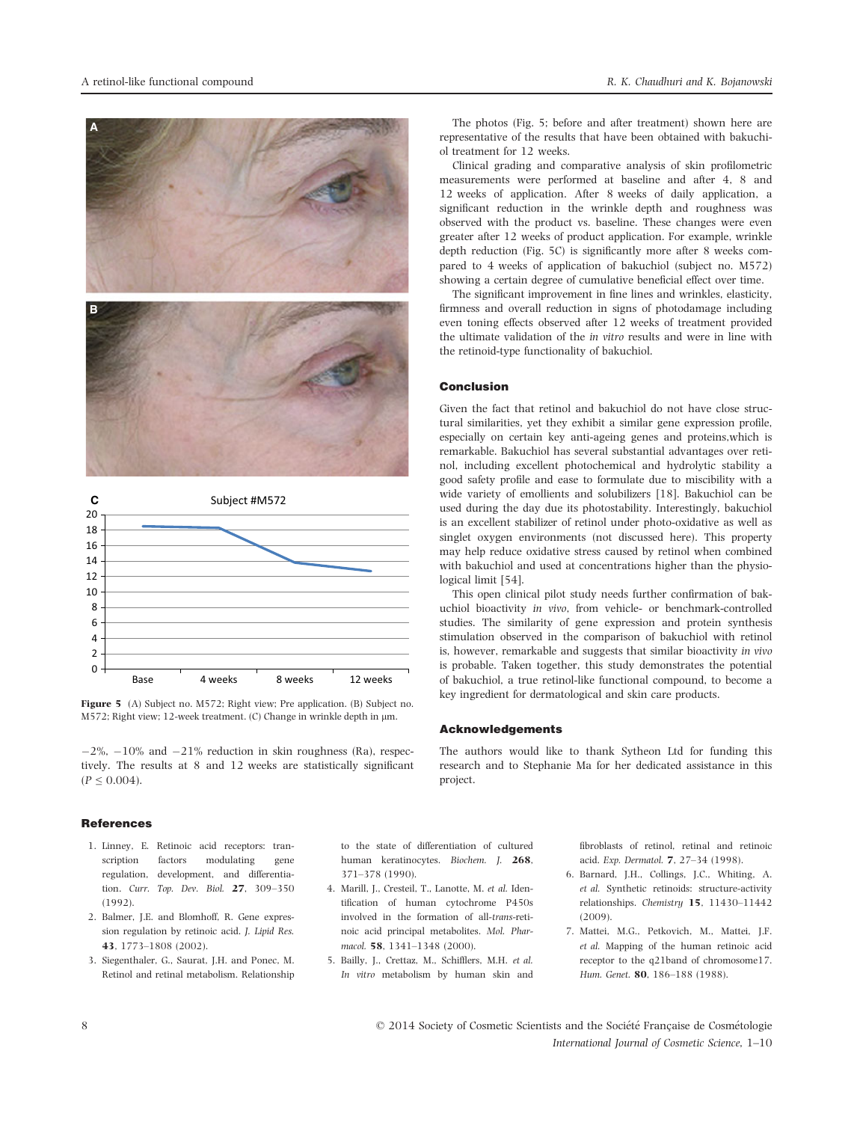The photos (Fig. 5; before and after treatment) shown here are representative of the results that have been obtained with bakuchi-

Clinical grading and comparative analysis of skin profilometric measurements were performed at baseline and after 4, 8 and 12 weeks of application. After 8 weeks of daily application, a significant reduction in the wrinkle depth and roughness was observed with the product vs. baseline. These changes were even greater after 12 weeks of product application. For example, wrinkle depth reduction (Fig. 5C) is significantly more after 8 weeks compared to 4 weeks of application of bakuchiol (subject no. M572) showing a certain degree of cumulative beneficial effect over time. The significant improvement in fine lines and wrinkles, elasticity, firmness and overall reduction in signs of photodamage including even toning effects observed after 12 weeks of treatment provided the ultimate validation of the in vitro results and were in line with

Given the fact that retinol and bakuchiol do not have close structural similarities, yet they exhibit a similar gene expression profile, especially on certain key anti-ageing genes and proteins,which is remarkable. Bakuchiol has several substantial advantages over retinol, including excellent photochemical and hydrolytic stability a good safety profile and ease to formulate due to miscibility with a wide variety of emollients and solubilizers [18]. Bakuchiol can be used during the day due its photostability. Interestingly, bakuchiol is an excellent stabilizer of retinol under photo-oxidative as well as singlet oxygen environments (not discussed here). This property may help reduce oxidative stress caused by retinol when combined with bakuchiol and used at concentrations higher than the physio-







 $-2\%$ ,  $-10\%$  and  $-21\%$  reduction in skin roughness (Ra), respectively. The results at 8 and 12 weeks are statistically significant  $(P \le 0.004)$ .

## **References**

- 1. Linney, E. Retinoic acid receptors: transcription factors modulating gene regulation, development, and differentiation. Curr. Top. Dev. Biol. 27, 309–<sup>350</sup> (1992).
- 2. Balmer, J.E. and Blomhoff, R. Gene expression regulation by retinoic acid. J. Lipid Res. 43, 1773–1808 (2002).
- 3. Siegenthaler, G., Saurat, J.H. and Ponec, M. Retinol and retinal metabolism. Relationship

of bakuchiol, a true retinol-like functional compound, to become a key ingredient for dermatological and skin care products.

ol treatment for 12 weeks.

Conclusion

logical limit [54].

the retinoid-type functionality of bakuchiol.

# Acknowledgements

The authors would like to thank Sytheon Ltd for funding this research and to Stephanie Ma for her dedicated assistance in this project.

This open clinical pilot study needs further confirmation of bakuchiol bioactivity in vivo, from vehicle- or benchmark-controlled studies. The similarity of gene expression and protein synthesis stimulation observed in the comparison of bakuchiol with retinol is, however, remarkable and suggests that similar bioactivity in vivo is probable. Taken together, this study demonstrates the potential

to the state of differentiation of cultured human keratinocytes. Biochem. J. 268, 371–378 (1990).

- 4. Marill, J., Cresteil, T., Lanotte, M. et al. Identification of human cytochrome P450s involved in the formation of all-trans-retinoic acid principal metabolites. Mol. Pharmacol. 58, 1341–1348 (2000).
- 5. Bailly, J., Crettaz, M., Schifflers, M.H. et al. In vitro metabolism by human skin and

fibroblasts of retinol, retinal and retinoic acid. Exp. Dermatol. 7, 27–34 (1998).

- 6. Barnard, J.H., Collings, J.C., Whiting, A. et al. Synthetic retinoids: structure-activity relationships. Chemistry 15, 11430–<sup>11442</sup> (2009).
- 7. Mattei, M.G., Petkovich, M., Mattei, J.F. et al. Mapping of the human retinoic acid receptor to the q21band of chromosome17. Hum. Genet. 80, 186–188 (1988).

8 © 2014 Society of Cosmetic Scientists and the Societe Francaise de Cosmetologie International Journal of Cosmetic Science, 1–10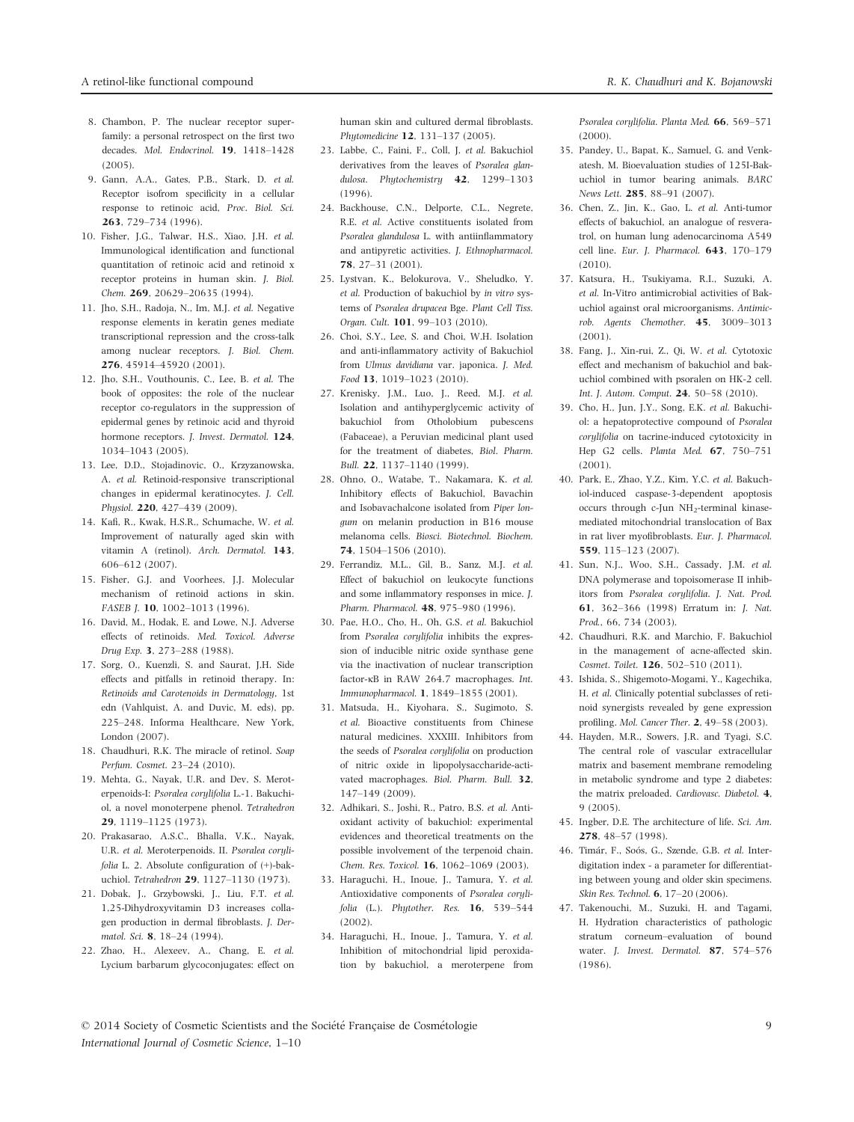- 8. Chambon, P. The nuclear receptor superfamily: a personal retrospect on the first two decades. Mol. Endocrinol. 19, 1418–<sup>1428</sup> (2005).
- 9. Gann, A.A., Gates, P.B., Stark, D. et al. Receptor isofrom specificity in a cellular response to retinoic acid, Proc. Biol. Sci. 263, 729–734 (1996).
- 10. Fisher, J.G., Talwar, H.S., Xiao, J.H. et al. Immunological identification and functional quantitation of retinoic acid and retinoid x receptor proteins in human skin. J. Biol. Chem. 269, 20629–20635 (1994).
- 11. Jho, S.H., Radoja, N., Im, M.J. et al. Negative response elements in keratin genes mediate transcriptional repression and the cross-talk among nuclear receptors. J. Biol. Chem. 276, 45914–45920 (2001).
- 12. Jho, S.H., Vouthounis, C., Lee, B. et al. The book of opposites: the role of the nuclear receptor co-regulators in the suppression of epidermal genes by retinoic acid and thyroid hormone receptors. J. Invest. Dermatol. 124, 1034–1043 (2005).
- 13. Lee, D.D., Stojadinovic, O., Krzyzanowska, A. et al. Retinoid-responsive transcriptional changes in epidermal keratinocytes. J. Cell. Physiol. 220, 427–439 (2009).
- 14. Kafi, R., Kwak, H.S.R., Schumache, W. et al. Improvement of naturally aged skin with vitamin A (retinol). Arch. Dermatol. 143, 606–612 (2007).
- 15. Fisher, G.J. and Voorhees, J.J. Molecular mechanism of retinoid actions in skin. FASEB I. 10. 1002-1013 (1996).
- 16. David, M., Hodak, E. and Lowe, N.J. Adverse effects of retinoids. Med. Toxicol. Adverse Drug Exp. 3, 273–288 (1988).
- 17. Sorg, O., Kuenzli, S. and Saurat, J.H. Side effects and pitfalls in retinoid therapy. In: Retinoids and Carotenoids in Dermatology, 1st edn (Vahlquist, A. and Duvic, M. eds), pp. 225–248. Informa Healthcare, New York, London (2007).
- 18. Chaudhuri, R.K. The miracle of retinol. Soap Perfum. Cosmet. 23–24 (2010).
- 19. Mehta, G., Nayak, U.R. and Dev, S. Meroterpenoids-I: Psoralea corylifolia L.-1. Bakuchiol, a novel monoterpene phenol. Tetrahedron 29, 1119–1125 (1973).
- 20. Prakasarao, A.S.C., Bhalla, V.K., Nayak, U.R. et al. Meroterpenoids. II. Psoralea corylifolia L. 2. Absolute configuration of (+)-bakuchiol. Tetrahedron 29, 1127–1130 (1973).
- 21. Dobak, J., Grzybowski, J., Liu, F.T. et al. 1,25-Dihydroxyvitamin D3 increases collagen production in dermal fibroblasts. J. Dermatol. Sci. 8, 18–24 (1994).
- 22. Zhao, H., Alexeev, A., Chang, E. et al. Lycium barbarum glycoconjugates: effect on

human skin and cultured dermal fibroblasts.

- Phytomedicine **12**, 131-137 (2005).<br>23. Labbe, C., Faini, F., Coll, J. et al. Bakuchiol derivatives from the leaves of Psoralea glandulosa. Phytochemistry 42, 1299–<sup>1303</sup> (1996).
- 24. Backhouse, C.N., Delporte, C.L., Negrete, R.E. et al. Active constituents isolated from Psoralea glandulosa L. with antiinflammatory and antipyretic activities. J. Ethnopharmacol. 78, 27–31 (2001).
- 25. Lystvan, K., Belokurova, V., Sheludko, Y. et al. Production of bakuchiol by in vitro systems of Psoralea drupacea Bge. Plant Cell Tiss. Organ. Cult. 101, 99–103 (2010).
- 26. Choi, S.Y., Lee, S. and Choi, W.H. Isolation and anti-inflammatory activity of Bakuchiol from Ulmus davidiana var. japonica. J. Med. Food 13, 1019–1023 (2010).
- 27. Krenisky, J.M., Luo, J., Reed, M.J. et al. Isolation and antihyperglycemic activity of bakuchiol from Otholobium pubescens (Fabaceae), a Peruvian medicinal plant used for the treatment of diabetes, Biol. Pharm. Bull. <sup>22</sup>, 1137–1140 (1999).
- 28. Ohno, O., Watabe, T., Nakamara, K. et al. Inhibitory effects of Bakuchiol, Bavachin and Isobavachalcone isolated from Piper longum on melanin production in B16 mouse melanoma cells. Biosci. Biotechnol. Biochem. 74, 1504–1506 (2010).
- 29. Ferrandiz, M.L., Gil, B., Sanz, M.J. et al. Effect of bakuchiol on leukocyte functions and some inflammatory responses in mice. J. Pharm. Pharmacol. 48, 975–980 (1996).
- 30. Pae, H.O., Cho, H., Oh, G.S. et al. Bakuchiol from Psoralea corylifolia inhibits the expression of inducible nitric oxide synthase gene via the inactivation of nuclear transcription factor-KB in RAW 264.7 macrophages. Int. Immunopharmacol. 1, 1849–1855 (2001).
- 31. Matsuda, H., Kiyohara, S., Sugimoto, S. et al. Bioactive constituents from Chinese natural medicines. XXXIII. Inhibitors from the seeds of Psoralea corylifolia on production of nitric oxide in lipopolysaccharide-activated macrophages. Biol. Pharm. Bull. 32, 147–149 (2009).
- 32. Adhikari, S., Joshi, R., Patro, B.S. et al. Antioxidant activity of bakuchiol: experimental evidences and theoretical treatments on the possible involvement of the terpenoid chain. Chem. Res. Toxicol. 16, 1062–1069 (2003).
- 33. Haraguchi, H., Inoue, J., Tamura, Y. et al. Antioxidative components of Psoralea corylifolia (L.). Phytother. Res. 16, 539–<sup>544</sup> (2002).
- 34. Haraguchi, H., Inoue, J., Tamura, Y. et al. Inhibition of mitochondrial lipid peroxidation by bakuchiol, a meroterpene from

Psoralea corylifolia. Planta Med. 66, 569–<sup>571</sup> (2000).

- 35. Pandey, U., Bapat, K., Samuel, G. and Venkatesh, M. Bioevaluation studies of 125I-Bakuchiol in tumor bearing animals. BARC News Lett. 285, 88–91 (2007).
- 36. Chen, Z., Jin, K., Gao, L. et al. Anti-tumor effects of bakuchiol, an analogue of resveratrol, on human lung adenocarcinoma A549 cell line. Eur. J. Pharmacol. 643, 170–<sup>179</sup> (2010).
- 37. Katsura, H., Tsukiyama, R.I., Suzuki, A. et al. In-Vitro antimicrobial activities of Bakuchiol against oral microorganisms. Antimicrob. Agents Chemother. 45, 3009–<sup>3013</sup> (2001).
- 38. Fang, J., Xin-rui, Z., Qi, W. et al. Cytotoxic effect and mechanism of bakuchiol and bakuchiol combined with psoralen on HK-2 cell. Int. J. Autom. Comput. 24, 50–58 (2010).
- 39. Cho, H., Jun, J.Y., Song, E.K. et al. Bakuchiol: a hepatoprotective compound of Psoralea corylifolia on tacrine-induced cytotoxicity in Hep G2 cells. Planta Med. 67, 750–<sup>751</sup> (2001).
- 40. Park, E., Zhao, Y.Z., Kim, Y.C. et al. Bakuchiol-induced caspase-3-dependent apoptosis occurs through  $c$ -Jun  $NH_2$ -terminal kinasemediated mitochondrial translocation of Bax in rat liver myofibroblasts. Eur. J. Pharmacol. 559, 115–123 (2007).
- 41. Sun, N.J., Woo, S.H., Cassady, J.M. et al. DNA polymerase and topoisomerase II inhibitors from Psoralea corylifolia. J. Nat. Prod. 61, 362–366 (1998) Erratum in: J. Nat. Prod., 66, 734 (2003).
- 42. Chaudhuri, R.K. and Marchio, F. Bakuchiol in the management of acne-affected skin. Cosmet. Toilet. 126, 502–510 (2011).
- 43. Ishida, S., Shigemoto-Mogami, Y., Kagechika, H. et al. Clinically potential subclasses of retinoid synergists revealed by gene expression profiling. Mol. Cancer Ther. 2, 49–58 (2003).
- 44. Hayden, M.R., Sowers, J.R. and Tyagi, S.C. The central role of vascular extracellular matrix and basement membrane remodeling in metabolic syndrome and type 2 diabetes: the matrix preloaded. Cardiovasc. Diabetol. 4, 9 (2005).
- 45. Ingber, D.E. The architecture of life. Sci. Am. 278, 48–57 (1998).
- 46. Timár, F., Soós, G., Szende, G.B. et al. Interdigitation index - a parameter for differentiating between young and older skin specimens. Skin Res. Technol. 6, 17–20 (2006).
- 47. Takenouchi, M., Suzuki, H. and Tagami, H. Hydration characteristics of pathologic stratum corneum–evaluation of bound water. J. Invest. Dermatol. 87, 574–<sup>576</sup> (1986).